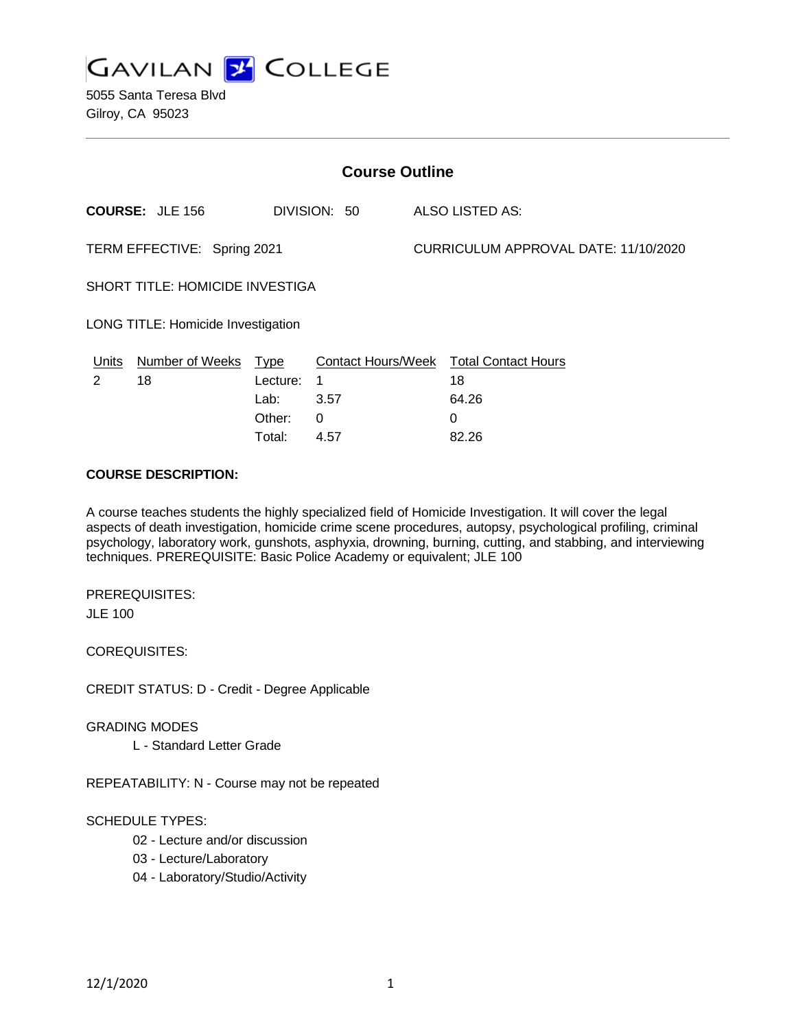

5055 Santa Teresa Blvd Gilroy, CA 95023

| <b>Course Outline</b>                  |                        |          |              |  |                                               |  |
|----------------------------------------|------------------------|----------|--------------|--|-----------------------------------------------|--|
|                                        | <b>COURSE: JLE 156</b> |          | DIVISION: 50 |  | <b>ALSO LISTED AS:</b>                        |  |
| TERM EFFECTIVE: Spring 2021            |                        |          |              |  | CURRICULUM APPROVAL DATE: 11/10/2020          |  |
| <b>SHORT TITLE: HOMICIDE INVESTIGA</b> |                        |          |              |  |                                               |  |
| LONG TITLE: Homicide Investigation     |                        |          |              |  |                                               |  |
| Units                                  | Number of Weeks Type   |          |              |  | <b>Contact Hours/Week Total Contact Hours</b> |  |
| 2                                      | 18                     | Lecture: | -1           |  | 18                                            |  |
|                                        |                        | Lab:     | 3.57         |  | 64.26                                         |  |
|                                        |                        | Other:   | $\Omega$     |  | 0                                             |  |
|                                        |                        | Total:   | 4.57         |  | 82.26                                         |  |

#### **COURSE DESCRIPTION:**

A course teaches students the highly specialized field of Homicide Investigation. It will cover the legal aspects of death investigation, homicide crime scene procedures, autopsy, psychological profiling, criminal psychology, laboratory work, gunshots, asphyxia, drowning, burning, cutting, and stabbing, and interviewing techniques. PREREQUISITE: Basic Police Academy or equivalent; JLE 100

PREREQUISITES: JLE 100

COREQUISITES:

CREDIT STATUS: D - Credit - Degree Applicable

GRADING MODES

L - Standard Letter Grade

REPEATABILITY: N - Course may not be repeated

#### SCHEDULE TYPES:

- 02 Lecture and/or discussion
- 03 Lecture/Laboratory
- 04 Laboratory/Studio/Activity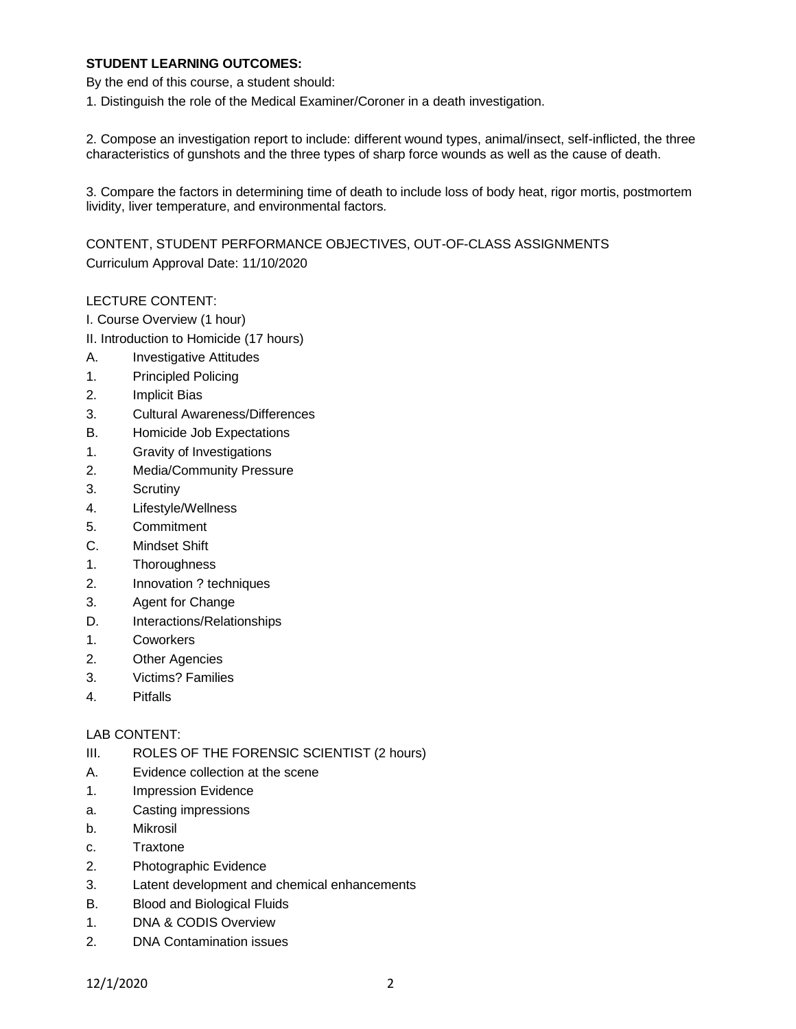### **STUDENT LEARNING OUTCOMES:**

By the end of this course, a student should:

1. Distinguish the role of the Medical Examiner/Coroner in a death investigation.

2. Compose an investigation report to include: different wound types, animal/insect, self-inflicted, the three characteristics of gunshots and the three types of sharp force wounds as well as the cause of death.

3. Compare the factors in determining time of death to include loss of body heat, rigor mortis, postmortem lividity, liver temperature, and environmental factors.

CONTENT, STUDENT PERFORMANCE OBJECTIVES, OUT-OF-CLASS ASSIGNMENTS Curriculum Approval Date: 11/10/2020

### LECTURE CONTENT:

- I. Course Overview (1 hour)
- II. Introduction to Homicide (17 hours)
- A. Investigative Attitudes
- 1. Principled Policing
- 2. Implicit Bias
- 3. Cultural Awareness/Differences
- B. Homicide Job Expectations
- 1. Gravity of Investigations
- 2. Media/Community Pressure
- 3. Scrutiny
- 4. Lifestyle/Wellness
- 5. Commitment
- C. Mindset Shift
- 1. Thoroughness
- 2. Innovation ? techniques
- 3. Agent for Change
- D. Interactions/Relationships
- 1. Coworkers
- 2. Other Agencies
- 3. Victims? Families
- 4. Pitfalls

### LAB CONTENT:

- III. ROLES OF THE FORENSIC SCIENTIST (2 hours)
- A. Evidence collection at the scene
- 1. Impression Evidence
- a. Casting impressions
- b. Mikrosil
- c. Traxtone
- 2. Photographic Evidence
- 3. Latent development and chemical enhancements
- B. Blood and Biological Fluids
- 1. DNA & CODIS Overview
- 2. DNA Contamination issues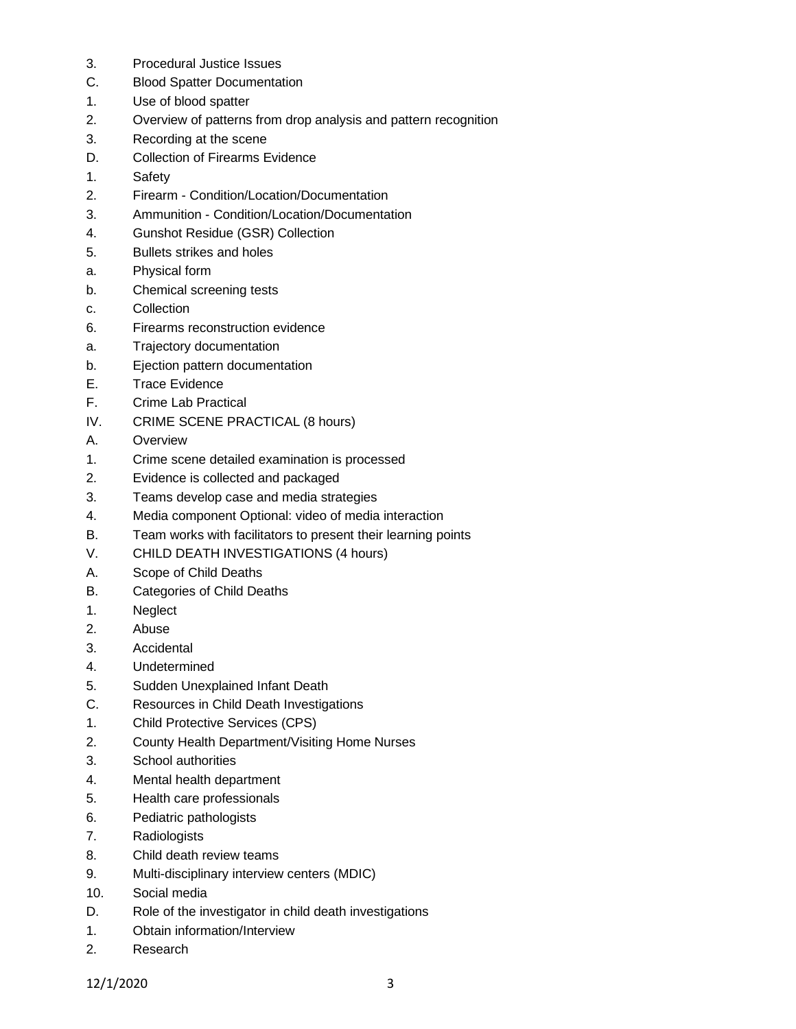- 3. Procedural Justice Issues
- C. Blood Spatter Documentation
- 1. Use of blood spatter
- 2. Overview of patterns from drop analysis and pattern recognition
- 3. Recording at the scene
- D. Collection of Firearms Evidence
- 1. Safety
- 2. Firearm Condition/Location/Documentation
- 3. Ammunition Condition/Location/Documentation
- 4. Gunshot Residue (GSR) Collection
- 5. Bullets strikes and holes
- a. Physical form
- b. Chemical screening tests
- c. Collection
- 6. Firearms reconstruction evidence
- a. Trajectory documentation
- b. Ejection pattern documentation
- E. Trace Evidence
- F. Crime Lab Practical
- IV. CRIME SCENE PRACTICAL (8 hours)
- A. Overview
- 1. Crime scene detailed examination is processed
- 2. Evidence is collected and packaged
- 3. Teams develop case and media strategies
- 4. Media component Optional: video of media interaction
- B. Team works with facilitators to present their learning points
- V. CHILD DEATH INVESTIGATIONS (4 hours)
- A. Scope of Child Deaths
- B. Categories of Child Deaths
- 1. Neglect
- 2. Abuse
- 3. Accidental
- 4. Undetermined
- 5. Sudden Unexplained Infant Death
- C. Resources in Child Death Investigations
- 1. Child Protective Services (CPS)
- 2. County Health Department/Visiting Home Nurses
- 3. School authorities
- 4. Mental health department
- 5. Health care professionals
- 6. Pediatric pathologists
- 7. Radiologists
- 8. Child death review teams
- 9. Multi-disciplinary interview centers (MDIC)
- 10. Social media
- D. Role of the investigator in child death investigations
- 1. Obtain information/Interview
- 2. Research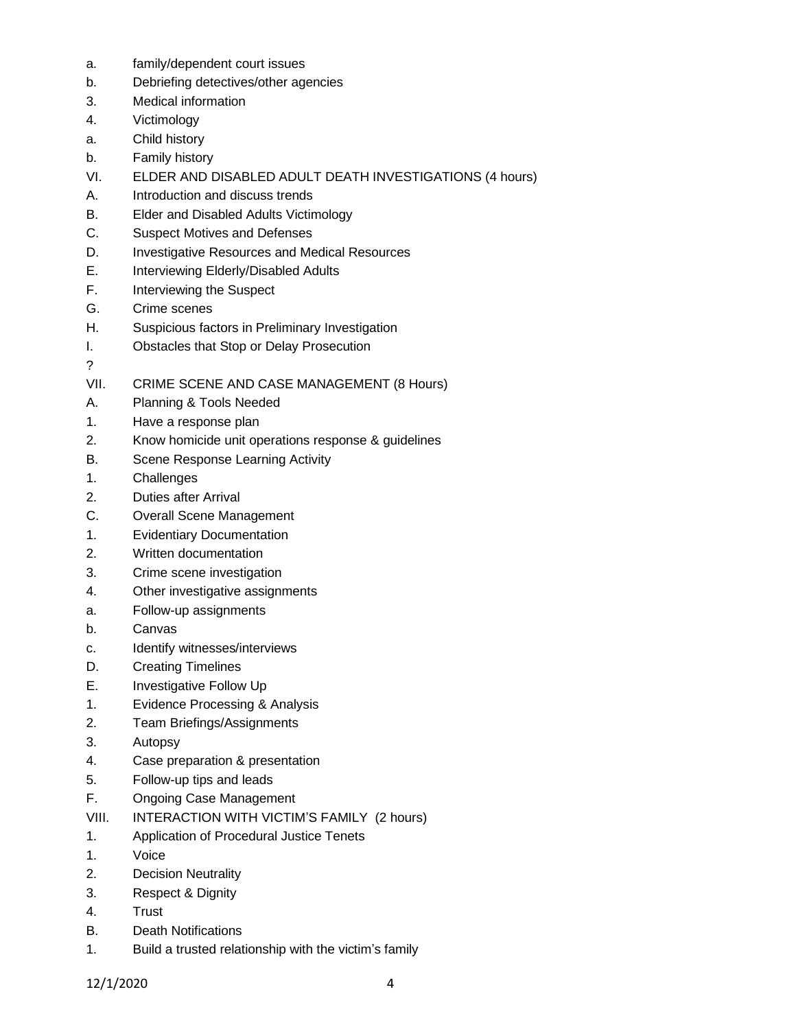- a. family/dependent court issues
- b. Debriefing detectives/other agencies
- 3. Medical information
- 4. Victimology
- a. Child history
- b. Family history
- VI. ELDER AND DISABLED ADULT DEATH INVESTIGATIONS (4 hours)
- A. Introduction and discuss trends
- B. Elder and Disabled Adults Victimology
- C. Suspect Motives and Defenses
- D. Investigative Resources and Medical Resources
- E. Interviewing Elderly/Disabled Adults
- F. Interviewing the Suspect
- G. Crime scenes
- H. Suspicious factors in Preliminary Investigation
- I. Obstacles that Stop or Delay Prosecution
- ?
- VII. CRIME SCENE AND CASE MANAGEMENT (8 Hours)
- A. Planning & Tools Needed
- 1. Have a response plan
- 2. Know homicide unit operations response & guidelines
- B. Scene Response Learning Activity
- 1. Challenges
- 2. Duties after Arrival
- C. Overall Scene Management
- 1. Evidentiary Documentation
- 2. Written documentation
- 3. Crime scene investigation
- 4. Other investigative assignments
- a. Follow-up assignments
- b. Canvas
- c. Identify witnesses/interviews
- D. Creating Timelines
- E. Investigative Follow Up
- 1. Evidence Processing & Analysis
- 2. Team Briefings/Assignments
- 3. Autopsy
- 4. Case preparation & presentation
- 5. Follow-up tips and leads
- F. Ongoing Case Management
- VIII. INTERACTION WITH VICTIM'S FAMILY (2 hours)
- 1. Application of Procedural Justice Tenets
- 1. Voice
- 2. Decision Neutrality
- 3. Respect & Dignity
- 4. Trust
- B. Death Notifications
- 1. Build a trusted relationship with the victim's family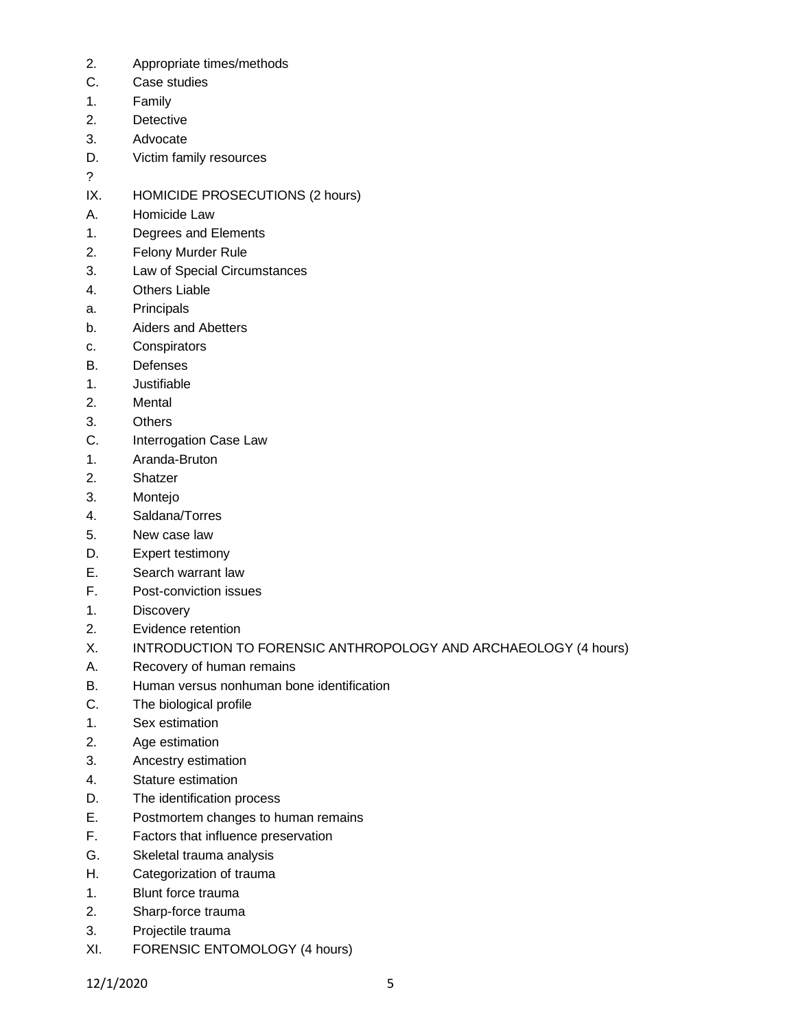- 2. Appropriate times/methods
- C. Case studies
- 1. Family
- 2. Detective
- 3. Advocate
- D. Victim family resources
- ?

IX. HOMICIDE PROSECUTIONS (2 hours)

- A. Homicide Law
- 1. Degrees and Elements
- 2. Felony Murder Rule
- 3. Law of Special Circumstances
- 4. Others Liable
- a. Principals
- b. Aiders and Abetters
- c. Conspirators
- B. Defenses
- 1. Justifiable
- 2. Mental
- 3. Others
- C. Interrogation Case Law
- 1. Aranda-Bruton
- 2. Shatzer
- 3. Montejo
- 4. Saldana/Torres
- 5. New case law
- D. Expert testimony
- E. Search warrant law
- F. Post-conviction issues
- 1. Discovery
- 2. Evidence retention
- X. INTRODUCTION TO FORENSIC ANTHROPOLOGY AND ARCHAEOLOGY (4 hours)
- A. Recovery of human remains
- B. Human versus nonhuman bone identification
- C. The biological profile
- 1. Sex estimation
- 2. Age estimation
- 3. Ancestry estimation
- 4. Stature estimation
- D. The identification process
- E. Postmortem changes to human remains
- F. Factors that influence preservation
- G. Skeletal trauma analysis
- H. Categorization of trauma
- 1. Blunt force trauma
- 2. Sharp-force trauma
- 3. Projectile trauma
- XI. FORENSIC ENTOMOLOGY (4 hours)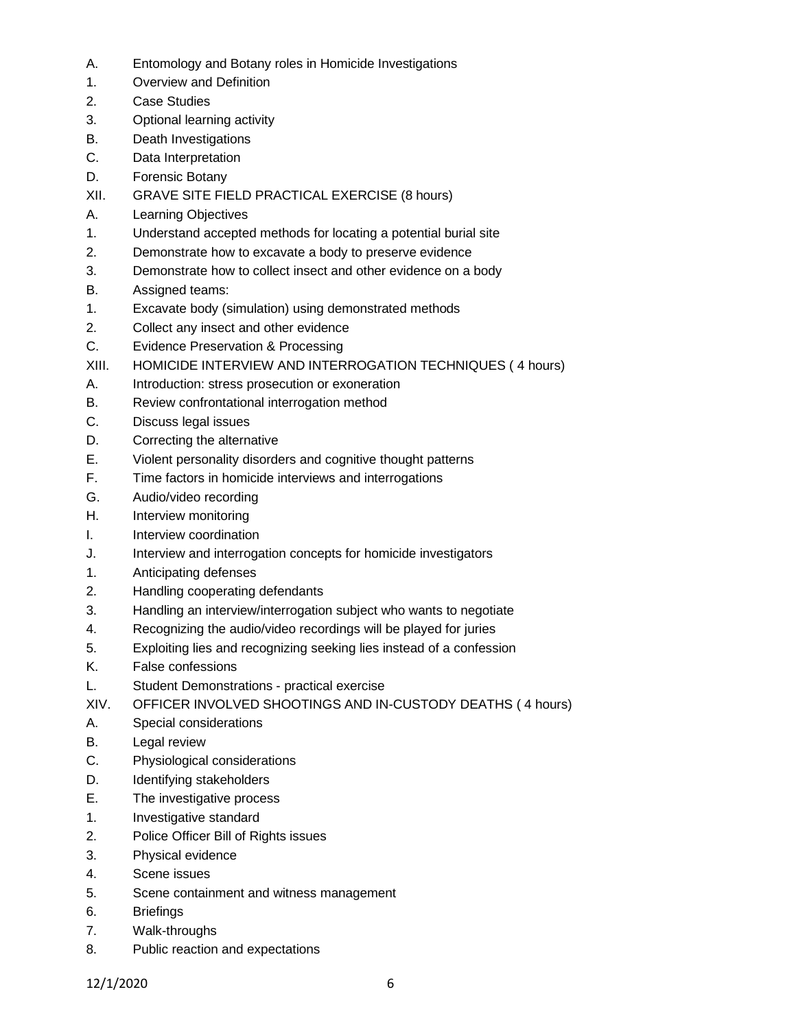- A. Entomology and Botany roles in Homicide Investigations
- 1. Overview and Definition
- 2. Case Studies
- 3. Optional learning activity
- B. Death Investigations
- C. Data Interpretation
- D. Forensic Botany
- XII. GRAVE SITE FIELD PRACTICAL EXERCISE (8 hours)
- A. Learning Objectives
- 1. Understand accepted methods for locating a potential burial site
- 2. Demonstrate how to excavate a body to preserve evidence
- 3. Demonstrate how to collect insect and other evidence on a body
- B. Assigned teams:
- 1. Excavate body (simulation) using demonstrated methods
- 2. Collect any insect and other evidence
- C. Evidence Preservation & Processing
- XIII. HOMICIDE INTERVIEW AND INTERROGATION TECHNIQUES ( 4 hours)
- A. Introduction: stress prosecution or exoneration
- B. Review confrontational interrogation method
- C. Discuss legal issues
- D. Correcting the alternative
- E. Violent personality disorders and cognitive thought patterns
- F. Time factors in homicide interviews and interrogations
- G. Audio/video recording
- H. Interview monitoring
- I. Interview coordination
- J. Interview and interrogation concepts for homicide investigators
- 1. Anticipating defenses
- 2. Handling cooperating defendants
- 3. Handling an interview/interrogation subject who wants to negotiate
- 4. Recognizing the audio/video recordings will be played for juries
- 5. Exploiting lies and recognizing seeking lies instead of a confession
- K. False confessions
- L. Student Demonstrations practical exercise
- XIV. OFFICER INVOLVED SHOOTINGS AND IN-CUSTODY DEATHS ( 4 hours)
- A. Special considerations
- B. Legal review
- C. Physiological considerations
- D. Identifying stakeholders
- E. The investigative process
- 1. Investigative standard
- 2. Police Officer Bill of Rights issues
- 3. Physical evidence
- 4. Scene issues
- 5. Scene containment and witness management
- 6. Briefings
- 7. Walk-throughs
- 8. Public reaction and expectations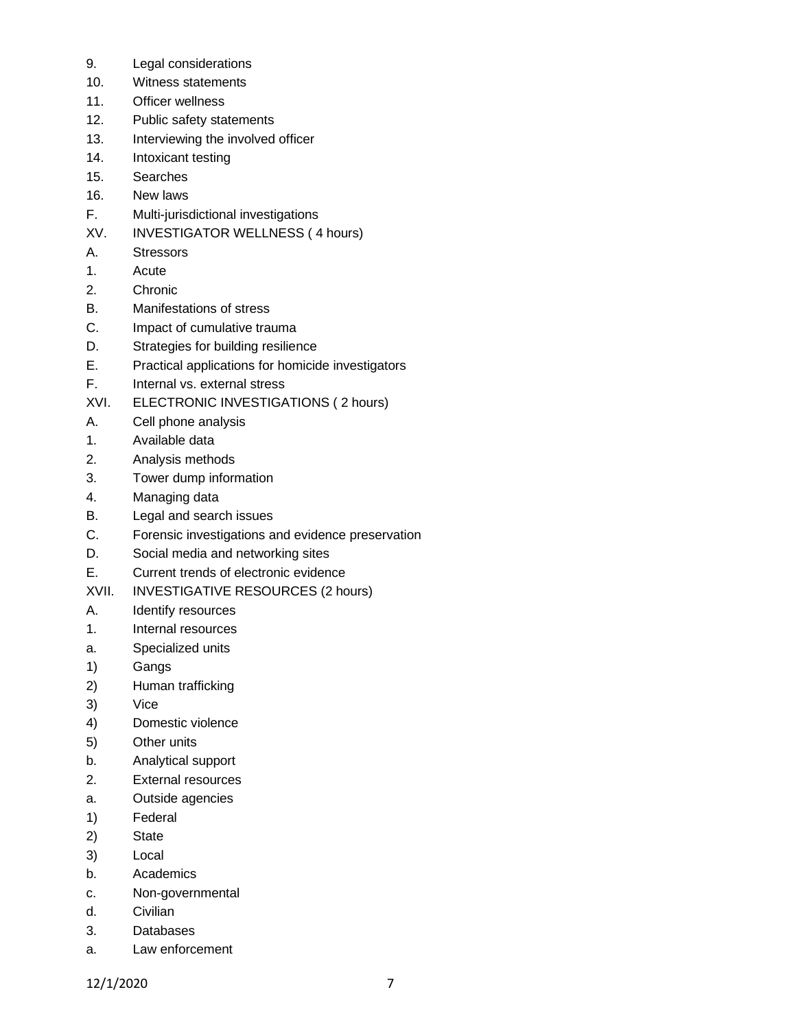- 9. Legal considerations
- 10. Witness statements
- 11. Officer wellness
- 12. Public safety statements
- 13. Interviewing the involved officer
- 14. Intoxicant testing
- 15. Searches
- 16. New laws
- F. Multi-jurisdictional investigations
- XV. INVESTIGATOR WELLNESS ( 4 hours)
- A. Stressors
- 1. Acute
- 2. Chronic
- B. Manifestations of stress
- C. Impact of cumulative trauma
- D. Strategies for building resilience
- E. Practical applications for homicide investigators
- F. Internal vs. external stress
- XVI. ELECTRONIC INVESTIGATIONS ( 2 hours)
- A. Cell phone analysis
- 1. Available data
- 2. Analysis methods
- 3. Tower dump information
- 4. Managing data
- B. Legal and search issues
- C. Forensic investigations and evidence preservation
- D. Social media and networking sites
- E. Current trends of electronic evidence
- XVII. INVESTIGATIVE RESOURCES (2 hours)
- A. Identify resources
- 1. Internal resources
- a. Specialized units
- 1) Gangs
- 2) Human trafficking
- 3) Vice
- 4) Domestic violence
- 5) Other units
- b. Analytical support
- 2. External resources
- a. Outside agencies
- 1) Federal
- 2) State
- 3) Local
- b. Academics
- c. Non-governmental
- d. Civilian
- 3. Databases
- a. Law enforcement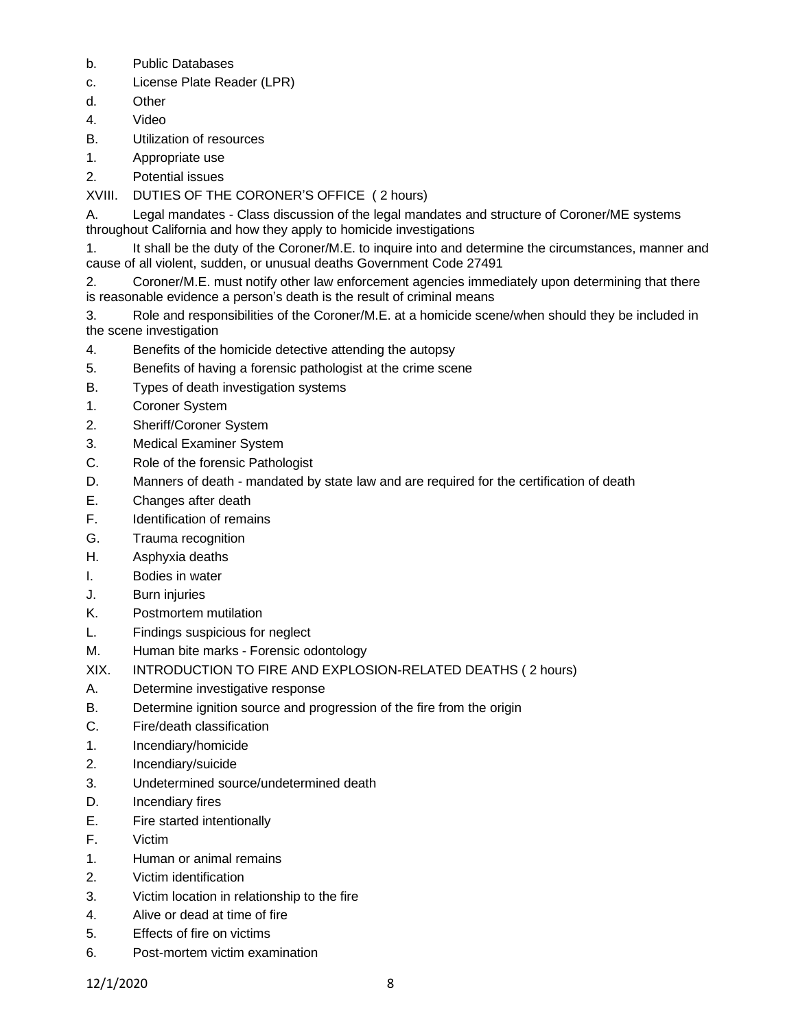- b. Public Databases
- c. License Plate Reader (LPR)
- d. Other
- 4. Video
- B. Utilization of resources
- 1. Appropriate use
- 2. Potential issues
- XVIII. DUTIES OF THE CORONER'S OFFICE ( 2 hours)
- A. Legal mandates Class discussion of the legal mandates and structure of Coroner/ME systems throughout California and how they apply to homicide investigations
- 1. It shall be the duty of the Coroner/M.E. to inquire into and determine the circumstances, manner and cause of all violent, sudden, or unusual deaths Government Code 27491
- 2. Coroner/M.E. must notify other law enforcement agencies immediately upon determining that there is reasonable evidence a person's death is the result of criminal means
- 3. Role and responsibilities of the Coroner/M.E. at a homicide scene/when should they be included in the scene investigation
- 4. Benefits of the homicide detective attending the autopsy
- 5. Benefits of having a forensic pathologist at the crime scene
- B. Types of death investigation systems
- 1. Coroner System
- 2. Sheriff/Coroner System
- 3. Medical Examiner System
- C. Role of the forensic Pathologist
- D. Manners of death mandated by state law and are required for the certification of death
- E. Changes after death
- F. Identification of remains
- G. Trauma recognition
- H. Asphyxia deaths
- I. Bodies in water
- J. Burn injuries
- K. Postmortem mutilation
- L. Findings suspicious for neglect
- M. Human bite marks Forensic odontology
- XIX. INTRODUCTION TO FIRE AND EXPLOSION-RELATED DEATHS ( 2 hours)
- A. Determine investigative response
- B. Determine ignition source and progression of the fire from the origin
- C. Fire/death classification
- 1. Incendiary/homicide
- 2. Incendiary/suicide
- 3. Undetermined source/undetermined death
- D. Incendiary fires
- E. Fire started intentionally
- F. Victim
- 1. Human or animal remains
- 2. Victim identification
- 3. Victim location in relationship to the fire
- 4. Alive or dead at time of fire
- 5. Effects of fire on victims
- 6. Post-mortem victim examination

12/1/2020 8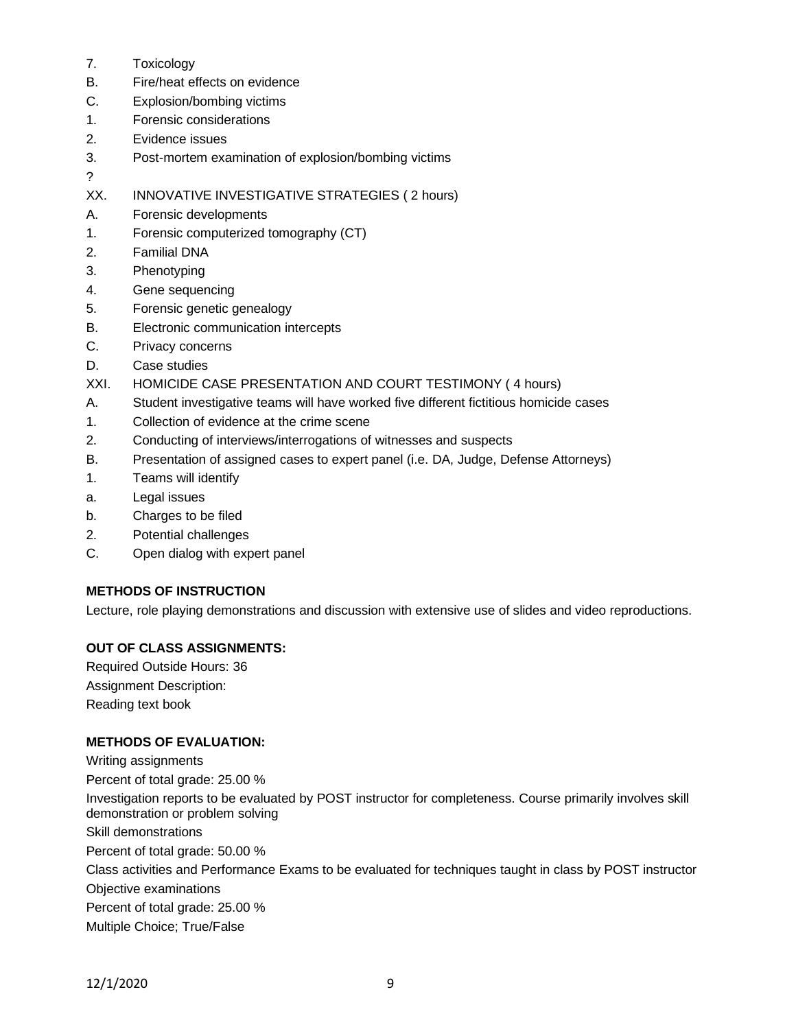- 7. Toxicology
- B. Fire/heat effects on evidence
- C. Explosion/bombing victims
- 1. Forensic considerations
- 2. Evidence issues
- 3. Post-mortem examination of explosion/bombing victims
- ?
- XX. INNOVATIVE INVESTIGATIVE STRATEGIES ( 2 hours)
- A. Forensic developments
- 1. Forensic computerized tomography (CT)
- 2. Familial DNA
- 3. Phenotyping
- 4. Gene sequencing
- 5. Forensic genetic genealogy
- B. Electronic communication intercepts
- C. Privacy concerns
- D. Case studies
- XXI. HOMICIDE CASE PRESENTATION AND COURT TESTIMONY ( 4 hours)
- A. Student investigative teams will have worked five different fictitious homicide cases
- 1. Collection of evidence at the crime scene
- 2. Conducting of interviews/interrogations of witnesses and suspects
- B. Presentation of assigned cases to expert panel (i.e. DA, Judge, Defense Attorneys)
- 1. Teams will identify
- a. Legal issues
- b. Charges to be filed
- 2. Potential challenges
- C. Open dialog with expert panel

# **METHODS OF INSTRUCTION**

Lecture, role playing demonstrations and discussion with extensive use of slides and video reproductions.

# **OUT OF CLASS ASSIGNMENTS:**

Required Outside Hours: 36 Assignment Description: Reading text book

# **METHODS OF EVALUATION:**

Writing assignments Percent of total grade: 25.00 % Investigation reports to be evaluated by POST instructor for completeness. Course primarily involves skill demonstration or problem solving Skill demonstrations Percent of total grade: 50.00 % Class activities and Performance Exams to be evaluated for techniques taught in class by POST instructor Objective examinations Percent of total grade: 25.00 % Multiple Choice; True/False